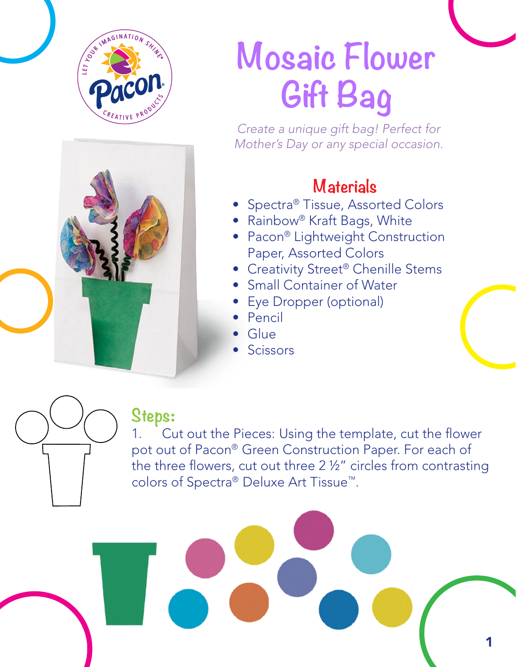

## **Mosaic Flower Gift Bag**

*Create a unique gift bag! Perfect for Mother's Day or any special occasion.* 

## **Materials**

- Spectra® Tissue, Assorted Colors
- Rainbow® Kraft Bags, White
- Pacon® Lightweight Construction Paper, Assorted Colors
- Creativity Street<sup>®</sup> Chenille Stems
- Small Container of Water
- Eye Dropper (optional)
- Pencil
- Glue
- **Scissors**



## **Steps**:

1. Cut out the Pieces: Using the template, cut the flower pot out of Pacon® Green Construction Paper. For each of the three flowers, cut out three 2 ½" circles from contrasting colors of Spectra® Deluxe Art Tissue™.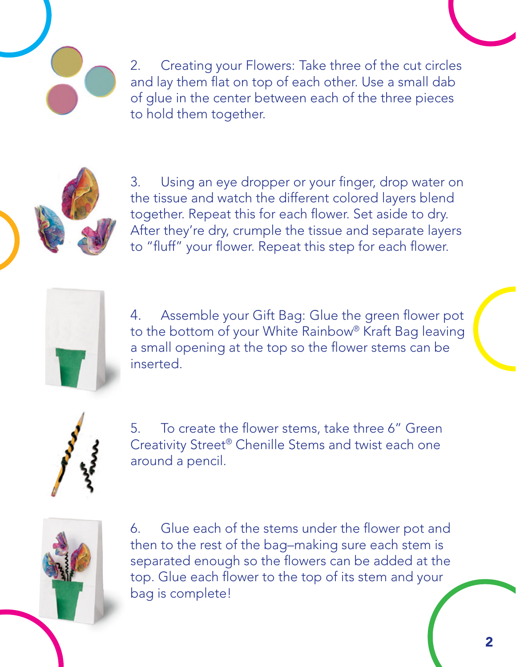2. Creating your Flowers: Take three of the cut circles and lay them flat on top of each other. Use a small dab of glue in the center between each of the three pieces to hold them together.

3. Using an eye dropper or your finger, drop water on the tissue and watch the different colored layers blend together. Repeat this for each flower. Set aside to dry. After they're dry, crumple the tissue and separate layers to "fluff" your flower. Repeat this step for each flower.



4. Assemble your Gift Bag: Glue the green flower pot to the bottom of your White Rainbow® Kraft Bag leaving a small opening at the top so the flower stems can be inserted.



5. To create the flower stems, take three 6" Green Creativity Street® Chenille Stems and twist each one around a pencil.



6. Glue each of the stems under the flower pot and then to the rest of the bag–making sure each stem is separated enough so the flowers can be added at the top. Glue each flower to the top of its stem and your bag is complete!